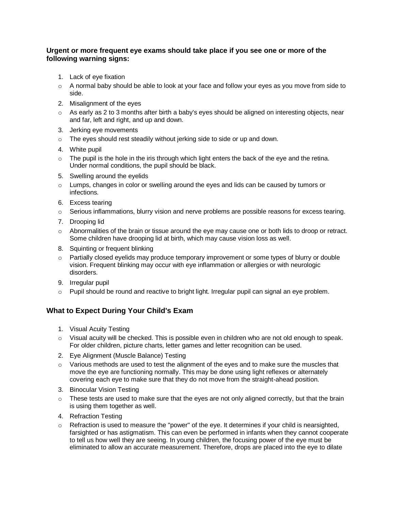#### **Urgent or more frequent eye exams should take place if you see one or more of the following warning signs:**

- 1. Lack of eye fixation
- $\circ$  A normal baby should be able to look at your face and follow your eyes as you move from side to side.
- 2. Misalignment of the eyes
- $\circ$  As early as 2 to 3 months after birth a baby's eyes should be aligned on interesting objects, near and far, left and right, and up and down.
- 3. Jerking eye movements
- o The eyes should rest steadily without jerking side to side or up and down.
- 4. White pupil
- $\circ$  The pupil is the hole in the iris through which light enters the back of the eye and the retina. Under normal conditions, the pupil should be black.
- 5. Swelling around the eyelids
- $\circ$  Lumps, changes in color or swelling around the eyes and lids can be caused by tumors or infections.
- 6. Excess tearing
- $\circ$  Serious inflammations, blurry vision and nerve problems are possible reasons for excess tearing.
- 7. Drooping lid
- $\circ$  Abnormalities of the brain or tissue around the eye may cause one or both lids to droop or retract. Some children have drooping lid at birth, which may cause vision loss as well.
- 8. Squinting or frequent blinking
- $\circ$  Partially closed eyelids may produce temporary improvement or some types of blurry or double vision. Frequent blinking may occur with eye inflammation or allergies or with neurologic disorders.
- 9. Irregular pupil
- $\circ$  Pupil should be round and reactive to bright light. Irregular pupil can signal an eye problem.

### **What to Expect During Your Child's Exam**

- 1. Visual Acuity Testing
- $\circ$  Visual acuity will be checked. This is possible even in children who are not old enough to speak. For older children, picture charts, letter games and letter recognition can be used.
- 2. Eye Alignment (Muscle Balance) Testing
- $\circ$  Various methods are used to test the alignment of the eves and to make sure the muscles that move the eye are functioning normally. This may be done using light reflexes or alternately covering each eye to make sure that they do not move from the straight-ahead position.
- 3. Binocular Vision Testing
- $\circ$  These tests are used to make sure that the eyes are not only aligned correctly, but that the brain is using them together as well.
- 4. Refraction Testing
- $\circ$  Refraction is used to measure the "power" of the eye. It determines if your child is nearsighted, farsighted or has astigmatism. This can even be performed in infants when they cannot cooperate to tell us how well they are seeing. In young children, the focusing power of the eye must be eliminated to allow an accurate measurement. Therefore, drops are placed into the eye to dilate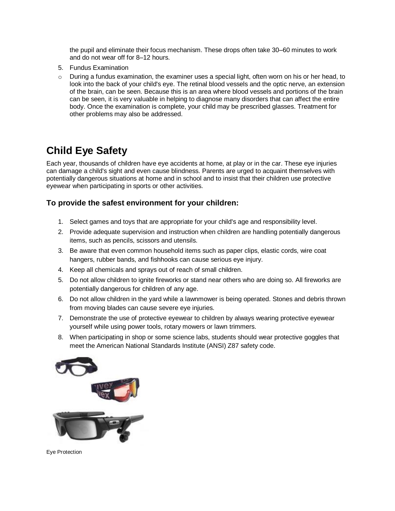the pupil and eliminate their focus mechanism. These drops often take 30–60 minutes to work and do not wear off for 8–12 hours.

- 5. Fundus Examination
- $\circ$  During a fundus examination, the examiner uses a special light, often worn on his or her head, to look into the back of your child's eye. The retinal blood vessels and the optic nerve, an extension of the brain, can be seen. Because this is an area where blood vessels and portions of the brain can be seen, it is very valuable in helping to diagnose many disorders that can affect the entire body. Once the examination is complete, your child may be prescribed glasses. Treatment for other problems may also be addressed.

# **Child Eye Safety**

Each year, thousands of children have eye accidents at home, at play or in the car. These eye injuries can damage a child's sight and even cause blindness. Parents are urged to acquaint themselves with potentially dangerous situations at home and in school and to insist that their children use protective eyewear when participating in sports or other activities.

### **To provide the safest environment for your children:**

- 1. Select games and toys that are appropriate for your child's age and responsibility level.
- 2. Provide adequate supervision and instruction when children are handling potentially dangerous items, such as pencils, scissors and utensils.
- 3. Be aware that even common household items such as paper clips, elastic cords, wire coat hangers, rubber bands, and fishhooks can cause serious eye injury.
- 4. Keep all chemicals and sprays out of reach of small children.
- 5. Do not allow children to ignite fireworks or stand near others who are doing so. All fireworks are potentially dangerous for children of any age.
- 6. Do not allow children in the yard while a lawnmower is being operated. Stones and debris thrown from moving blades can cause severe eye injuries.
- 7. Demonstrate the use of protective eyewear to children by always wearing protective eyewear yourself while using power tools, rotary mowers or lawn trimmers.
- 8. When participating in shop or some science labs, students should wear protective goggles that meet the American National Standards Institute (ANSI) Z87 safety code.